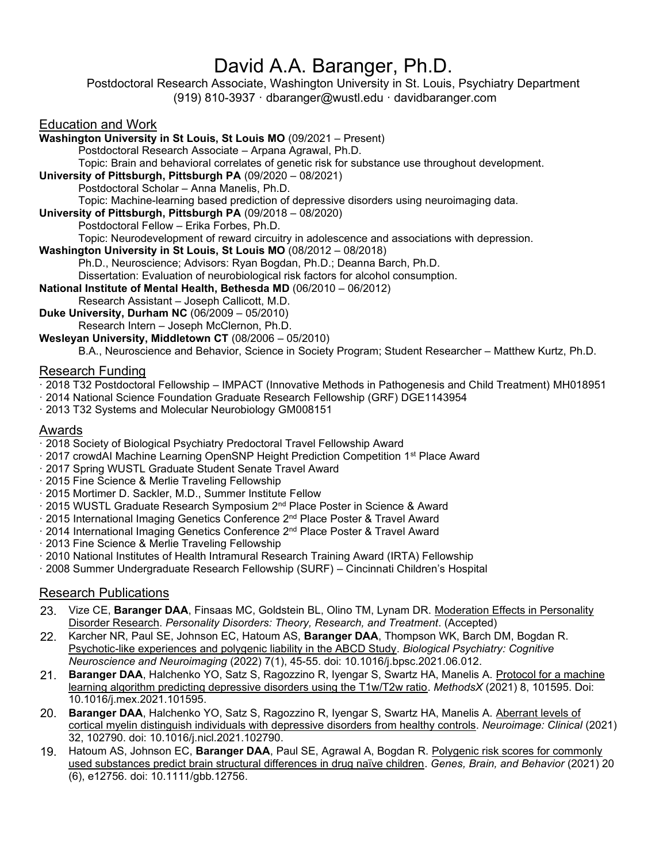# David A.A. Baranger, Ph.D.

Postdoctoral Research Associate, Washington University in St. Louis, Psychiatry Department (919) 810-3937 · [dbaranger@wustl.edu](mailto:dbaranger@wustl.edu) · [davidbaranger.com](https://davidbaranger.com/)

## Education and Work

**Washington University in St Louis, St Louis MO** (09/2021 – Present) Postdoctoral Research Associate – Arpana Agrawal, Ph.D. Topic: Brain and behavioral correlates of genetic risk for substance use throughout development. **University of Pittsburgh, Pittsburgh PA** (09/2020 – 08/2021) Postdoctoral Scholar – Anna Manelis, Ph.D. Topic: Machine-learning based prediction of depressive disorders using neuroimaging data. **University of Pittsburgh, Pittsburgh PA** (09/2018 – 08/2020) Postdoctoral Fellow – Erika Forbes, Ph.D. Topic: Neurodevelopment of reward circuitry in adolescence and associations with depression. **Washington University in St Louis, St Louis MO** (08/2012 – 08/2018) Ph.D., Neuroscience; Advisors: Ryan Bogdan, Ph.D.; Deanna Barch, Ph.D. Dissertation: Evaluation of neurobiological risk factors for alcohol consumption. **National Institute of Mental Health, Bethesda MD** (06/2010 – 06/2012) Research Assistant – Joseph Callicott, M.D. **Duke University, Durham NC** (06/2009 – 05/2010) Research Intern – Joseph McClernon, Ph.D. **Wesleyan University, Middletown CT** (08/2006 – 05/2010) B.A., Neuroscience and Behavior, Science in Society Program; Student Researcher – Matthew Kurtz, Ph.D. Research Funding · 2018 T32 Postdoctoral Fellowship – IMPACT (Innovative Methods in Pathogenesis and Child Treatment) MH018951

- · 2014 National Science Foundation Graduate Research Fellowship (GRF) DGE1143954
- · 2013 T32 Systems and Molecular Neurobiology GM008151

#### Awards

· 2018 Society of Biological Psychiatry Predoctoral Travel Fellowship Award

- · 2017 crowdAI Machine Learning OpenSNP Height Prediction Competition 1st Place Award
- · 2017 Spring WUSTL Graduate Student Senate Travel Award
- · 2015 Fine Science & Merlie Traveling Fellowship
- · 2015 Mortimer D. Sackler, M.D., Summer Institute Fellow
- · 2015 WUSTL Graduate Research Symposium 2nd Place Poster in Science & Award
- · 2015 International Imaging Genetics Conference 2nd Place Poster & Travel Award
- · 2014 International Imaging Genetics Conference 2nd Place Poster & Travel Award
- · 2013 Fine Science & Merlie Traveling Fellowship
- · 2010 National Institutes of Health Intramural Research Training Award (IRTA) Fellowship
- · 2008 Summer Undergraduate Research Fellowship (SURF) Cincinnati Children's Hospital

## Research Publications

- 23. Vize CE, **Baranger DAA**, Finsaas MC, Goldstein BL, Olino TM, Lynam DR. Moderation Effects in Personality Disorder Research. *Personality Disorders: Theory, Research, and Treatment*. (Accepted)
- 22. Karcher NR, Paul SE, Johnson EC, Hatoum AS, **Baranger DAA**, Thompson WK, Barch DM, Bogdan R. Psychotic-like experiences and polygenic liability in the ABCD Study. *Biological Psychiatry: Cognitive Neuroscience and Neuroimaging* (2022) 7(1), 45-55. doi: 10.1016/j.bpsc.2021.06.012.
- 21. **Baranger DAA**, Halchenko YO, Satz S, Ragozzino R, Iyengar S, Swartz HA, Manelis A. Protocol for a machine learning algorithm predicting depressive disorders using the T1w/T2w ratio. *MethodsX* (2021) 8, 101595. Doi: 10.1016/j.mex.2021.101595.
- 20. **Baranger DAA**, Halchenko YO, Satz S, Ragozzino R, Iyengar S, Swartz HA, Manelis A. Aberrant levels of cortical myelin distinguish individuals with depressive disorders from healthy controls. *Neuroimage: Clinical* (2021) 32, 102790. doi: 10.1016/j.nicl.2021.102790.
- 19. Hatoum AS, Johnson EC, **Baranger DAA**, Paul SE, Agrawal A, Bogdan R. Polygenic risk scores for commonly used substances predict brain structural differences in drug naïve children. *Genes, Brain, and Behavior* (2021) 20 (6), e12756. doi: 10.1111/gbb.12756.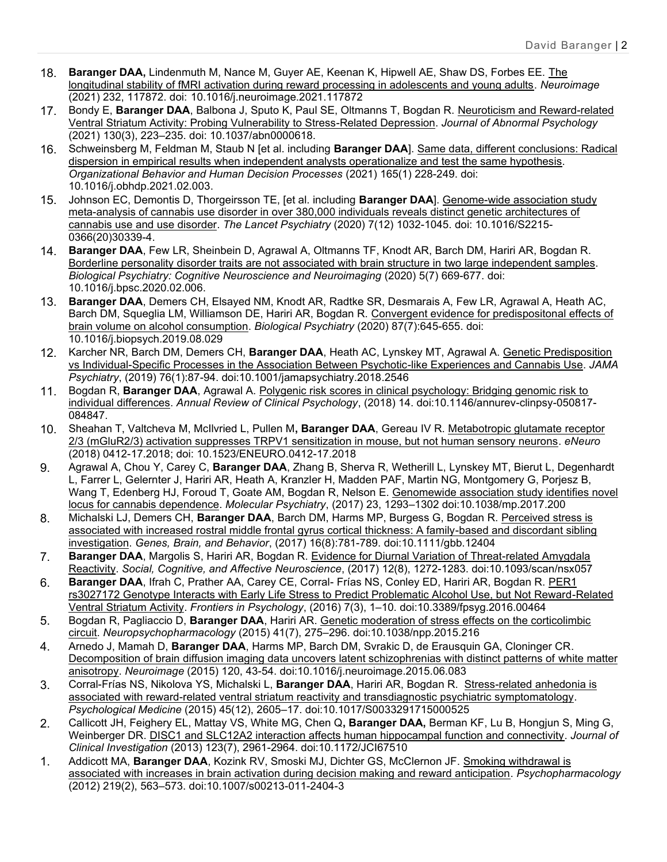- 18. **Baranger DAA,** Lindenmuth M, Nance M, Guyer AE, Keenan K, Hipwell AE, Shaw DS, Forbes EE. The longitudinal stability of fMRI activation during reward processing in adolescents and young adults. *Neuroimage* (2021) 232, 117872. doi: 10.1016/j.neuroimage.2021.117872
- 17. Bondy E, **Baranger DAA**, Balbona J, Sputo K, Paul SE, Oltmanns T, Bogdan R. Neuroticism and Reward-related Ventral Striatum Activity: Probing Vulnerability to Stress-Related Depression. *Journal of Abnormal Psychology* (2021) 130(3), 223–235. doi: 10.1037/abn0000618.
- 16. Schweinsberg M, Feldman M, Staub N [et al. including **Baranger DAA**]. Same data, different conclusions: Radical dispersion in empirical results when independent analysts operationalize and test the same hypothesis. *Organizational Behavior and Human Decision Processes* (2021) 165(1) 228-249. doi: 10.1016/j.obhdp.2021.02.003.
- 15. Johnson EC, Demontis D, Thorgeirsson TE, [et al. including **Baranger DAA**]. Genome-wide association study meta-analysis of cannabis use disorder in over 380,000 individuals reveals distinct genetic architectures of cannabis use and use disorder. *The Lancet Psychiatry* (2020) 7(12) 1032-1045. doi: 10.1016/S2215- 0366(20)30339-4.
- 14. **Baranger DAA**, Few LR, Sheinbein D, Agrawal A, Oltmanns TF, Knodt AR, Barch DM, Hariri AR, Bogdan R. Borderline personality disorder traits are not associated with brain structure in two large independent samples. *Biological Psychiatry: Cognitive Neuroscience and Neuroimaging* (2020) 5(7) 669-677. doi: 10.1016/j.bpsc.2020.02.006.
- 13. **Baranger DAA**, Demers CH, Elsayed NM, Knodt AR, Radtke SR, Desmarais A, Few LR, Agrawal A, Heath AC, Barch DM, Squeglia LM, Williamson DE, Hariri AR, Bogdan R. Convergent evidence for predispositonal effects of brain volume on alcohol consumption. *Biological Psychiatry* (2020) 87(7):645-655. doi: 10.1016/j.biopsych.2019.08.029
- 12. Karcher NR, Barch DM, Demers CH, **Baranger DAA**, Heath AC, Lynskey MT, Agrawal A. Genetic Predisposition vs Individual-Specific Processes in the Association Between Psychotic-like Experiences and Cannabis Use. *JAMA Psychiatry*, (2019) 76(1):87-94. doi:10.1001/jamapsychiatry.2018.2546
- 11. Bogdan R, **Baranger DAA**, Agrawal A. Polygenic risk scores in clinical psychology: Bridging genomic risk to individual differences. *Annual Review of Clinical Psychology*, (2018) 14. doi:10.1146/annurev-clinpsy-050817- 084847.
- 10. Sheahan T, Valtcheva M, McIlvried L, Pullen M**, Baranger DAA**, Gereau IV R. Metabotropic glutamate receptor 2/3 (mGluR2/3) activation suppresses TRPV1 sensitization in mouse, but not human sensory neurons. *eNeuro* (2018) 0412-17.2018; doi: 10.1523/ENEURO.0412-17.2018
- 9. Agrawal A, Chou Y, Carey C, **Baranger DAA**, Zhang B, Sherva R, Wetherill L, Lynskey MT, Bierut L, Degenhardt L, Farrer L, Gelernter J, Hariri AR, Heath A, Kranzler H, Madden PAF, Martin NG, Montgomery G, Porjesz B, Wang T, Edenberg HJ, Foroud T, Goate AM, Bogdan R, Nelson E. Genomewide association study identifies novel locus for cannabis dependence. *Molecular Psychiatry*, (2017) 23, 1293–1302 doi:10.1038/mp.2017.200
- 8. Michalski LJ, Demers CH, **Baranger DAA**, Barch DM, Harms MP, Burgess G, Bogdan R. Perceived stress is associated with increased rostral middle frontal gyrus cortical thickness: A family-based and discordant sibling investigation. *Genes, Brain, and Behavior*, (2017) 16(8):781-789. doi:10.1111/gbb.12404
- 7. **Baranger DAA**, Margolis S, Hariri AR, Bogdan R. Evidence for Diurnal Variation of Threat-related Amygdala Reactivity. *Social, Cognitive, and Affective Neuroscience*, (2017) 12(8), 1272-1283. doi:10.1093/scan/nsx057
- 6. **Baranger DAA**, Ifrah C, Prather AA, Carey CE, Corral- Frías NS, Conley ED, Hariri AR, Bogdan R. PER1 rs3027172 Genotype Interacts with Early Life Stress to Predict Problematic Alcohol Use, but Not Reward-Related Ventral Striatum Activity. *Frontiers in Psychology*, (2016) 7(3), 1–10. doi:10.3389/fpsyg.2016.00464
- 5. Bogdan R, Pagliaccio D, **Baranger DAA**, Hariri AR. Genetic moderation of stress effects on the corticolimbic circuit. *Neuropsychopharmacology* (2015) 41(7), 275–296. doi:10.1038/npp.2015.216
- 4. Arnedo J, Mamah D, **Baranger DAA**, Harms MP, Barch DM, Svrakic D, de Erausquin GA, Cloninger CR. Decomposition of brain diffusion imaging data uncovers latent schizophrenias with distinct patterns of white matter anisotropy. *Neuroimage* (2015) 120, 43-54. doi:10.1016/j.neuroimage.2015.06.083
- 3. Corral-Frías NS, Nikolova YS, Michalski L, **Baranger DAA**, Hariri AR, Bogdan R. Stress-related anhedonia is associated with reward-related ventral striatum reactivity and transdiagnostic psychiatric symptomatology. *Psychological Medicine* (2015) 45(12), 2605–17. doi:10.1017/S0033291715000525
- 2. Callicott JH, Feighery EL, Mattay VS, White MG, Chen Q**, Baranger DAA,** Berman KF, Lu B, Hongjun S, Ming G, Weinberger DR. DISC1 and SLC12A2 interaction affects human hippocampal function and connectivity. *Journal of Clinical Investigation* (2013) 123(7), 2961-2964. doi:10.1172/JCI67510
- 1. Addicott MA, **Baranger DAA**, Kozink RV, Smoski MJ, Dichter GS, McClernon JF. Smoking withdrawal is associated with increases in brain activation during decision making and reward anticipation. *Psychopharmacology* (2012) 219(2), 563–573. doi:10.1007/s00213-011-2404-3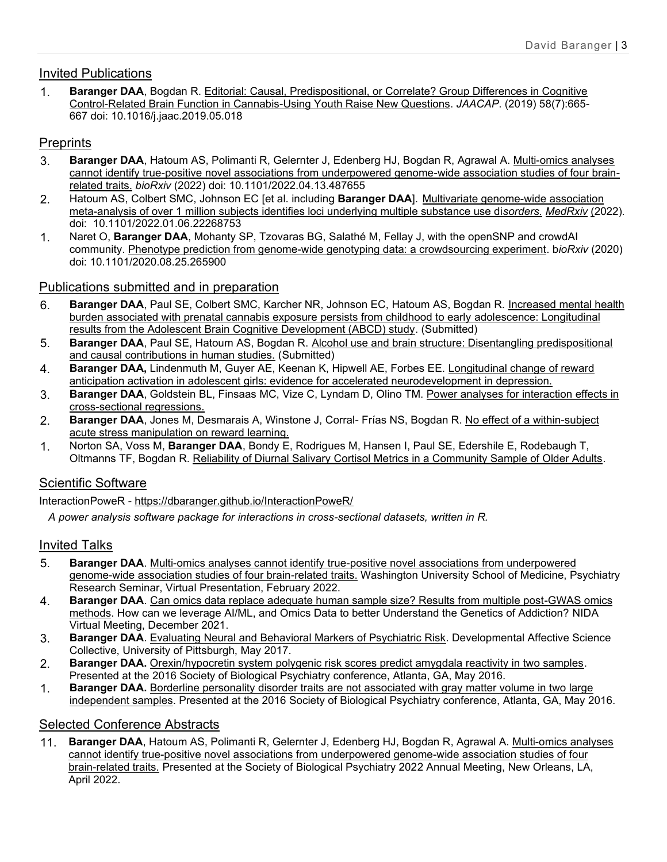## Invited Publications

1. **Baranger DAA**, Bogdan R. Editorial: Causal, Predispositional, or Correlate? Group Differences in Cognitive Control-Related Brain Function in Cannabis-Using Youth Raise New Questions. *JAACAP*. (2019) 58(7):665- 667 doi: 10.1016/j.jaac.2019.05.018

## **Preprints**

- 3. **Baranger DAA**, Hatoum AS, Polimanti R, Gelernter J, Edenberg HJ, Bogdan R, Agrawal A. Multi-omics analyses cannot identify true-positive novel associations from underpowered genome-wide association studies of four brainrelated traits. *bioRxiv* (2022) doi: 10.1101/2022.04.13.487655
- 2. Hatoum AS, Colbert SMC, Johnson EC [et al. including **Baranger DAA**]. Multivariate genome-wide association meta-analysis of over 1 million subjects identifies loci underlying multiple substance use di*sorders. MedRxiv* (2022)*.* doi: 10.1101/2022.01.06.22268753
- 1. Naret O, **Baranger DAA**, Mohanty SP, Tzovaras BG, Salathé M, Fellay J, with the openSNP and crowdAI community. Phenotype prediction from genome-wide genotyping data: a crowdsourcing experiment. b*ioRxiv* (2020) doi: 10.1101/2020.08.25.265900

## Publications submitted and in preparation

- 6. **Baranger DAA**, Paul SE, Colbert SMC, Karcher NR, Johnson EC, Hatoum AS, Bogdan R. Increased mental health burden associated with prenatal cannabis exposure persists from childhood to early adolescence: Longitudinal results from the Adolescent Brain Cognitive Development (ABCD) study. (Submitted)
- 5. **Baranger DAA**, Paul SE, Hatoum AS, Bogdan R. Alcohol use and brain structure: Disentangling predispositional and causal contributions in human studies. (Submitted)
- 4. **Baranger DAA,** Lindenmuth M, Guyer AE, Keenan K, Hipwell AE, Forbes EE. Longitudinal change of reward anticipation activation in adolescent girls: evidence for accelerated neurodevelopment in depression.
- 3. **Baranger DAA**, Goldstein BL, Finsaas MC, Vize C, Lyndam D, Olino TM. Power analyses for interaction effects in cross-sectional regressions.
- 2. **Baranger DAA**, Jones M, Desmarais A, Winstone J, Corral- Frías NS, Bogdan R. No effect of a within-subject acute stress manipulation on reward learning.
- 1. Norton SA, Voss M, **Baranger DAA**, Bondy E, Rodrigues M, Hansen I, Paul SE, Edershile E, Rodebaugh T, Oltmanns TF, Bogdan R. Reliability of Diurnal Salivary Cortisol Metrics in a Community Sample of Older Adults.

## Scientific Software

InteractionPoweR - <https://dbaranger.github.io/InteractionPoweR/>

 *A power analysis software package for interactions in cross-sectional datasets, written in R.*

## Invited Talks

- 5. **Baranger DAA**. Multi-omics analyses cannot identify true-positive novel associations from underpowered genome-wide association studies of four brain-related traits. Washington University School of Medicine, Psychiatry Research Seminar, Virtual Presentation, February 2022.
- 4. **Baranger DAA**. Can omics data replace adequate human sample size? Results from multiple post-GWAS omics methods. How can we leverage AI/ML, and Omics Data to better Understand the Genetics of Addiction? NIDA Virtual Meeting, December 2021.
- 3. **Baranger DAA**. Evaluating Neural and Behavioral Markers of Psychiatric Risk. Developmental Affective Science Collective, University of Pittsburgh, May 2017.
- 2. **Baranger DAA.** Orexin/hypocretin system polygenic risk scores predict amygdala reactivity in two samples. Presented at the 2016 Society of Biological Psychiatry conference, Atlanta, GA, May 2016.
- 1. **Baranger DAA.** Borderline personality disorder traits are not associated with gray matter volume in two large independent samples. Presented at the 2016 Society of Biological Psychiatry conference, Atlanta, GA, May 2016.

## Selected Conference Abstracts

11. **Baranger DAA**, Hatoum AS, Polimanti R, Gelernter J, Edenberg HJ, Bogdan R, Agrawal A. Multi-omics analyses cannot identify true-positive novel associations from underpowered genome-wide association studies of four brain-related traits. Presented at the Society of Biological Psychiatry 2022 Annual Meeting, New Orleans, LA, April 2022.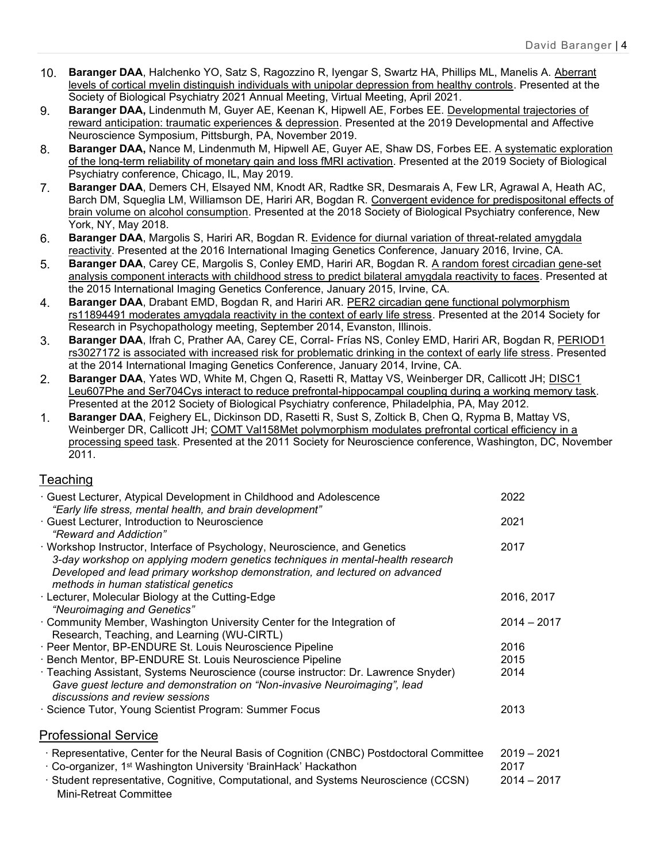- 10. **Baranger DAA**, Halchenko YO, Satz S, Ragozzino R, Iyengar S, Swartz HA, Phillips ML, Manelis A. Aberrant levels of cortical myelin distinguish individuals with unipolar depression from healthy controls. Presented at the Society of Biological Psychiatry 2021 Annual Meeting, Virtual Meeting, April 2021.
- 9. **Baranger DAA,** Lindenmuth M, Guyer AE, Keenan K, Hipwell AE, Forbes EE. Developmental trajectories of reward anticipation: traumatic experiences & depression. Presented at the 2019 Developmental and Affective Neuroscience Symposium, Pittsburgh, PA, November 2019.
- 8. **Baranger DAA,** Nance M, Lindenmuth M, Hipwell AE, Guyer AE, Shaw DS, Forbes EE. A systematic exploration of the long-term reliability of monetary gain and loss fMRI activation. Presented at the 2019 Society of Biological Psychiatry conference, Chicago, IL, May 2019.
- 7. **Baranger DAA**, Demers CH, Elsayed NM, Knodt AR, Radtke SR, Desmarais A, Few LR, Agrawal A, Heath AC, Barch DM, Squeglia LM, Williamson DE, Hariri AR, Bogdan R. Convergent evidence for predispositonal effects of brain volume on alcohol consumption. Presented at the 2018 Society of Biological Psychiatry conference, New York, NY, May 2018.
- 6. **Baranger DAA**, Margolis S, Hariri AR, Bogdan R. Evidence for diurnal variation of threat-related amygdala reactivity. Presented at the 2016 International Imaging Genetics Conference, January 2016, Irvine, CA.
- 5. **Baranger DAA**, Carey CE, Margolis S, Conley EMD, Hariri AR, Bogdan R. A random forest circadian gene-set analysis component interacts with childhood stress to predict bilateral amygdala reactivity to faces. Presented at the 2015 International Imaging Genetics Conference, January 2015, Irvine, CA.
- 4. **Baranger DAA**, Drabant EMD, Bogdan R, and Hariri AR. PER2 circadian gene functional polymorphism rs11894491 moderates amygdala reactivity in the context of early life stress. Presented at the 2014 Society for Research in Psychopathology meeting, September 2014, Evanston, Illinois.
- 3. **Baranger DAA**, Ifrah C, Prather AA, Carey CE, Corral- Frías NS, Conley EMD, Hariri AR, Bogdan R, PERIOD1 rs3027172 is associated with increased risk for problematic drinking in the context of early life stress. Presented at the 2014 International Imaging Genetics Conference, January 2014, Irvine, CA.
- 2. **Baranger DAA**, Yates WD, White M, Chgen Q, Rasetti R, Mattay VS, Weinberger DR, Callicott JH; DISC1 Leu607Phe and Ser704Cys interact to reduce prefrontal-hippocampal coupling during a working memory task. Presented at the 2012 Society of Biological Psychiatry conference, Philadelphia, PA, May 2012.
- 1. **Baranger DAA**, Feighery EL, Dickinson DD, Rasetti R, Sust S, Zoltick B, Chen Q, Rypma B, Mattay VS, Weinberger DR, Callicott JH; COMT Val158Met polymorphism modulates prefrontal cortical efficiency in a processing speed task. Presented at the 2011 Society for Neuroscience conference, Washington, DC, November 2011.

## **Teaching**

| · Guest Lecturer, Atypical Development in Childhood and Adolescence                                                                                                                                 | 2022          |
|-----------------------------------------------------------------------------------------------------------------------------------------------------------------------------------------------------|---------------|
| "Early life stress, mental health, and brain development"<br>· Guest Lecturer, Introduction to Neuroscience                                                                                         | 2021          |
| "Reward and Addiction"                                                                                                                                                                              |               |
| · Workshop Instructor, Interface of Psychology, Neuroscience, and Genetics<br>3-day workshop on applying modern genetics techniques in mental-health research                                       | 2017          |
| Developed and lead primary workshop demonstration, and lectured on advanced<br>methods in human statistical genetics                                                                                |               |
| · Lecturer, Molecular Biology at the Cutting-Edge<br>"Neuroimaging and Genetics"                                                                                                                    | 2016, 2017    |
| Community Member, Washington University Center for the Integration of<br>Research, Teaching, and Learning (WU-CIRTL)                                                                                | $2014 - 2017$ |
| · Peer Mentor, BP-ENDURE St. Louis Neuroscience Pipeline                                                                                                                                            | 2016          |
| · Bench Mentor, BP-ENDURE St. Louis Neuroscience Pipeline                                                                                                                                           | 2015          |
| · Teaching Assistant, Systems Neuroscience (course instructor: Dr. Lawrence Snyder)<br>Gave guest lecture and demonstration on "Non-invasive Neuroimaging", lead<br>discussions and review sessions | 2014          |
| · Science Tutor, Young Scientist Program: Summer Focus                                                                                                                                              | 2013          |
| <b>Professional Service</b>                                                                                                                                                                         |               |
| · Representative, Center for the Neural Basis of Cognition (CNBC) Postdoctoral Committee                                                                                                            | $2019 - 2021$ |
| · Co-organizer, 1 <sup>st</sup> Washington University 'BrainHack' Hackathon                                                                                                                         | 2017          |
| · Student representative, Cognitive, Computational, and Systems Neuroscience (CCSN)<br><b>Mini-Retreat Committee</b>                                                                                | $2014 - 2017$ |